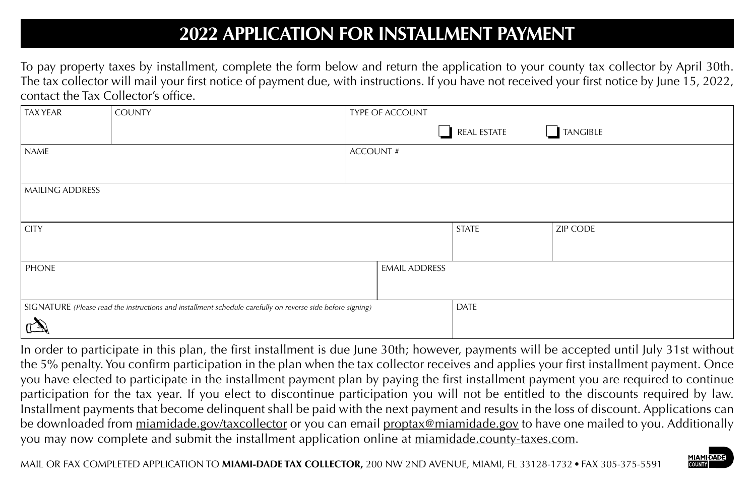## **2022 APPLICATION FOR INSTALLMENT PAYMENT**

To pay property taxes by installment, complete the form below and return the application to your county tax collector by April 30th. The tax collector will mail your first notice of payment due, with instructions. If you have not received your first notice by June 15, 2022, contact the Tax Collector's office.

| <b>TAX YEAR</b>                                                                                            | <b>COUNTY</b> |                 | TYPE OF ACCOUNT      |                 |                 |
|------------------------------------------------------------------------------------------------------------|---------------|-----------------|----------------------|-----------------|-----------------|
|                                                                                                            |               |                 | ×.                   | REAL ESTATE     | $\Box$ TANGIBLE |
| NAME                                                                                                       |               | <b>ACCOUNT#</b> |                      |                 |                 |
|                                                                                                            |               |                 |                      |                 |                 |
| MAILING ADDRESS                                                                                            |               |                 |                      |                 |                 |
|                                                                                                            |               |                 |                      |                 |                 |
| <b>CITY</b>                                                                                                |               |                 | <b>STATE</b>         | <b>ZIP CODE</b> |                 |
|                                                                                                            |               |                 |                      |                 |                 |
| PHONE                                                                                                      |               |                 | <b>EMAIL ADDRESS</b> |                 |                 |
|                                                                                                            |               |                 |                      |                 |                 |
| SIGNATURE (Please read the instructions and installment schedule carefully on reverse side before signing) |               |                 |                      | DATE            |                 |
|                                                                                                            |               |                 |                      |                 |                 |

In order to participate in this plan, the first installment is due June 30th; however, payments will be accepted until July 31st without the 5% penalty. You confirm participation in the plan when the tax collector receives and applies your first installment payment. Once you have elected to participate in the installment payment plan by paying the first installment payment you are required to continue participation for the tax year. If you elect to discontinue participation you will not be entitled to the discounts required by law. Installment payments that become delinquent shall be paid with the next payment and results in the loss of discount. Applications can be downloaded from miamidade.gov/taxcollector or you can email proptax@miamidade.gov to have one mailed to you. Additionally you may now complete and submit the installment application online at miamidade.county-taxes.com.